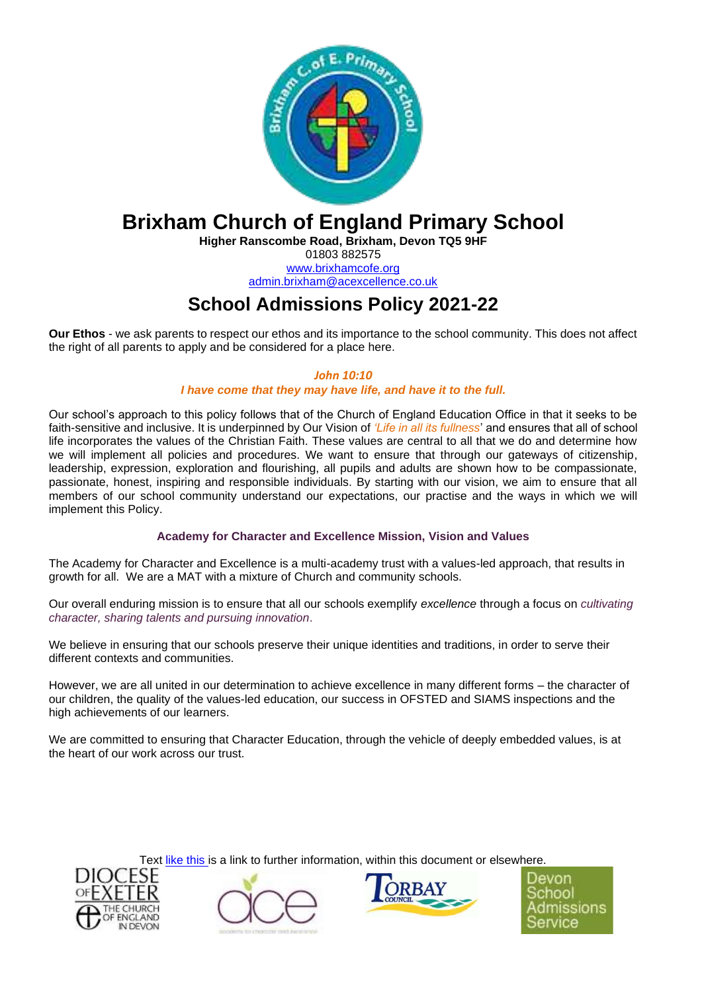

# **Brixham Church of England Primary School**

**Higher Ranscombe Road, Brixham, Devon TQ5 9HF** 01803 882575

[www.brixhamcofe.org](http://www.brixhamcofe.org/) [admin.brixham@acexcellence.co.uk](mailto:admin.brixham@acexcellence.co.uk)

## **School Admissions Policy 2021-22**

**Our Ethos** - we ask parents to respect our ethos and its importance to the school community. This does not affect the right of all parents to apply and be considered for a place here.

> *John 10:10 I have come that they may have life, and have it to the full.*

Our school's approach to this policy follows that of the Church of England Education Office in that it seeks to be faith-sensitive and inclusive. It is underpinned by Our Vision of *'Life in all its fullness*' and ensures that all of school life incorporates the values of the Christian Faith. These values are central to all that we do and determine how we will implement all policies and procedures. We want to ensure that through our gateways of citizenship, leadership, expression, exploration and flourishing, all pupils and adults are shown how to be compassionate, passionate, honest, inspiring and responsible individuals. By starting with our vision, we aim to ensure that all members of our school community understand our expectations, our practise and the ways in which we will implement this Policy.

## **Academy for Character and Excellence Mission, Vision and Values**

The Academy for Character and Excellence is a multi-academy trust with a values-led approach, that results in growth for all. We are a MAT with a mixture of Church and community schools.

Our overall enduring mission is to ensure that all our schools exemplify *excellence* through a focus on *cultivating character, sharing talents and pursuing innovation*.

We believe in ensuring that our schools preserve their unique identities and traditions, in order to serve their different contexts and communities.

However, we are all united in our determination to achieve excellence in many different forms – the character of our children, the quality of the values-led education, our success in OFSTED and SIAMS inspections and the high achievements of our learners.

We are committed to ensuring that Character Education, through the vehicle of deeply embedded values, is at the heart of our work across our trust.

Text like this is a link to further information, within this document or elsewhere.





Devon hnn dmissions ervice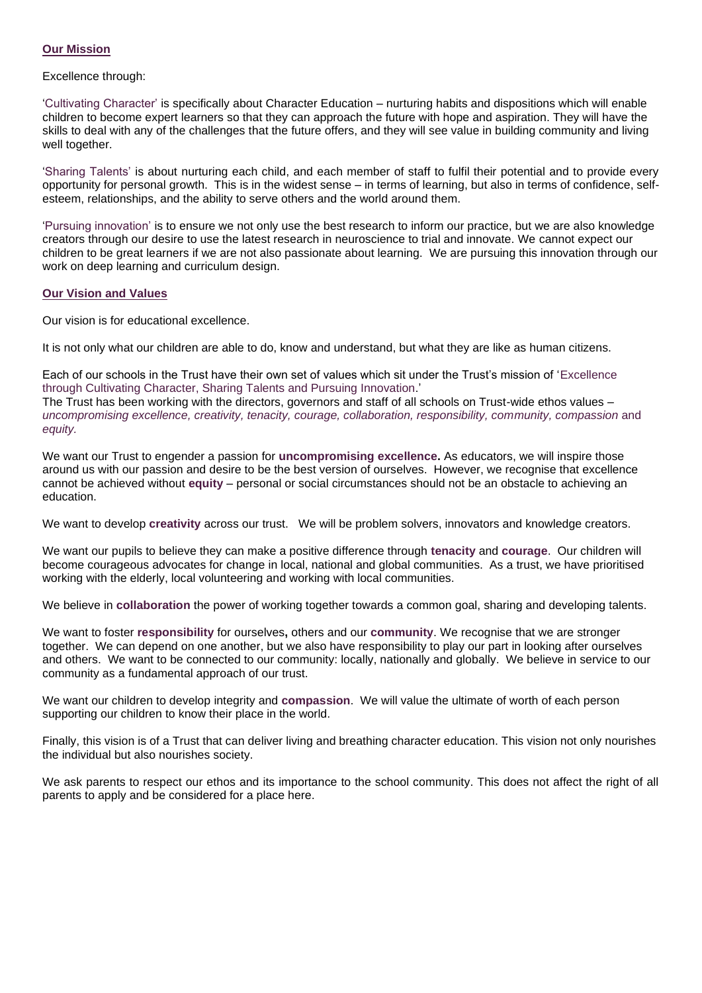## **Our Mission**

Excellence through:

'Cultivating Character' is specifically about Character Education – nurturing habits and dispositions which will enable children to become expert learners so that they can approach the future with hope and aspiration. They will have the skills to deal with any of the challenges that the future offers, and they will see value in building community and living well together.

'Sharing Talents' is about nurturing each child, and each member of staff to fulfil their potential and to provide every opportunity for personal growth. This is in the widest sense – in terms of learning, but also in terms of confidence, selfesteem, relationships, and the ability to serve others and the world around them.

'Pursuing innovation' is to ensure we not only use the best research to inform our practice, but we are also knowledge creators through our desire to use the latest research in neuroscience to trial and innovate. We cannot expect our children to be great learners if we are not also passionate about learning. We are pursuing this innovation through our work on deep learning and curriculum design.

## **Our Vision and Values**

Our vision is for educational excellence.

It is not only what our children are able to do, know and understand, but what they are like as human citizens.

Each of our schools in the Trust have their own set of values which sit under the Trust's mission of 'Excellence through Cultivating Character, Sharing Talents and Pursuing Innovation.'

The Trust has been working with the directors, governors and staff of all schools on Trust-wide ethos values – *uncompromising excellence, creativity, tenacity, courage, collaboration, responsibility, community, compassion* and *equity.*

We want our Trust to engender a passion for **uncompromising excellence.** As educators, we will inspire those around us with our passion and desire to be the best version of ourselves. However, we recognise that excellence cannot be achieved without **equity** – personal or social circumstances should not be an obstacle to achieving an education.

We want to develop **creativity** across our trust. We will be problem solvers, innovators and knowledge creators.

We want our pupils to believe they can make a positive difference through **tenacity** and **courage**. Our children will become courageous advocates for change in local, national and global communities. As a trust, we have prioritised working with the elderly, local volunteering and working with local communities.

We believe in **collaboration** the power of working together towards a common goal, sharing and developing talents.

We want to foster **responsibility** for ourselves**,** others and our **community**. We recognise that we are stronger together. We can depend on one another, but we also have responsibility to play our part in looking after ourselves and others. We want to be connected to our community: locally, nationally and globally. We believe in service to our community as a fundamental approach of our trust.

We want our children to develop integrity and **compassion**. We will value the ultimate of worth of each person supporting our children to know their place in the world.

Finally, this vision is of a Trust that can deliver living and breathing character education. This vision not only nourishes the individual but also nourishes society.

<span id="page-1-0"></span>We ask parents to respect our ethos and its importance to the school community. This does not affect the right of all parents to apply and be considered for a place here.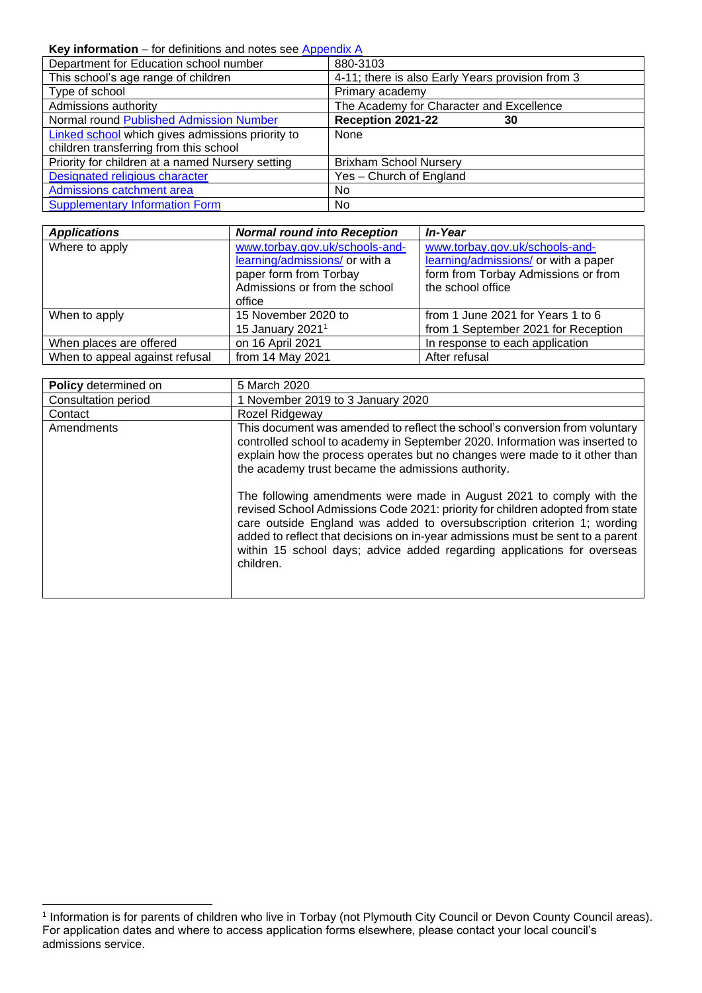## Key information – for definitions and notes see [Appendix A](#page-6-0)

| Department for Education school number                  | 880-3103                                         |
|---------------------------------------------------------|--------------------------------------------------|
| This school's age range of children                     | 4-11; there is also Early Years provision from 3 |
| Type of school                                          | Primary academy                                  |
| Admissions authority                                    | The Academy for Character and Excellence         |
| Normal round Published Admission Number                 | Reception 2021-22<br>30                          |
| <b>Linked school</b> which gives admissions priority to | <b>None</b>                                      |
| children transferring from this school                  |                                                  |
| Priority for children at a named Nursery setting        | <b>Brixham School Nursery</b>                    |
| Designated religious character                          | Yes - Church of England                          |
| Admissions catchment area                               | No.                                              |
| <b>Supplementary Information Form</b>                   | No.                                              |

| <b>Applications</b>            | <b>Normal round into Reception</b>                                                                                                    | In-Year                                                                                                                            |
|--------------------------------|---------------------------------------------------------------------------------------------------------------------------------------|------------------------------------------------------------------------------------------------------------------------------------|
| Where to apply                 | www.torbay.gov.uk/schools-and-<br>learning/admissions/ or with a<br>paper form from Torbay<br>Admissions or from the school<br>office | www.torbay.gov.uk/schools-and-<br>learning/admissions/ or with a paper<br>form from Torbay Admissions or from<br>the school office |
| When to apply                  | 15 November 2020 to<br>15 January 2021 <sup>1</sup>                                                                                   | from 1 June 2021 for Years 1 to 6<br>from 1 September 2021 for Reception                                                           |
| When places are offered        | on 16 April 2021                                                                                                                      | In response to each application                                                                                                    |
| When to appeal against refusal | from 14 May 2021                                                                                                                      | After refusal                                                                                                                      |

| Policy determined on | 5 March 2020                                                                                                                                                                                                                                                                                                                                                                                               |
|----------------------|------------------------------------------------------------------------------------------------------------------------------------------------------------------------------------------------------------------------------------------------------------------------------------------------------------------------------------------------------------------------------------------------------------|
| Consultation period  | 1 November 2019 to 3 January 2020                                                                                                                                                                                                                                                                                                                                                                          |
| Contact              | Rozel Ridgeway                                                                                                                                                                                                                                                                                                                                                                                             |
| Amendments           | This document was amended to reflect the school's conversion from voluntary<br>controlled school to academy in September 2020. Information was inserted to<br>explain how the process operates but no changes were made to it other than<br>the academy trust became the admissions authority.                                                                                                             |
|                      | The following amendments were made in August 2021 to comply with the<br>revised School Admissions Code 2021: priority for children adopted from state<br>care outside England was added to oversubscription criterion 1; wording<br>added to reflect that decisions on in-year admissions must be sent to a parent<br>within 15 school days; advice added regarding applications for overseas<br>children. |

<sup>1</sup> Information is for parents of children who live in Torbay (not Plymouth City Council or Devon County Council areas). For application dates and where to access application forms elsewhere, please contact your local council's admissions service.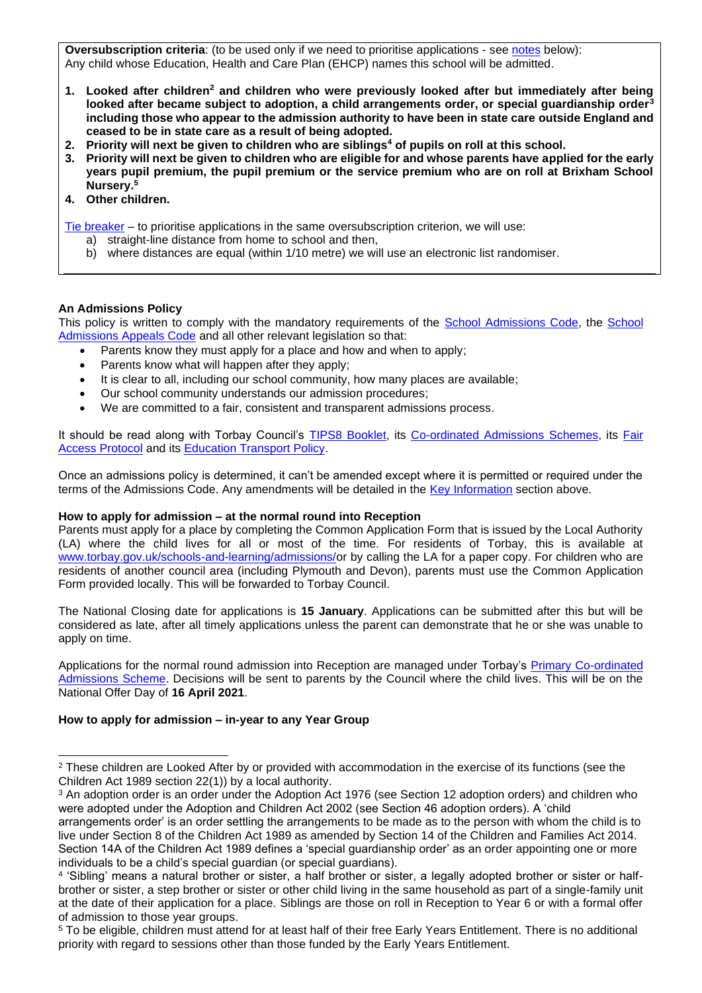<span id="page-3-0"></span>**Oversubscription criteria**: (to be used only if we need to prioritise applications - see [notes](#page-3-0) below): Any child whose Education, Health and Care Plan (EHCP) names this school will be admitted.

- **1. Looked after children<sup>2</sup> and children who were previously looked after but immediately after being looked after became subject to adoption, a child arrangements order, or special guardianship order<sup>3</sup> including those who appear to the admission authority to have been in state care outside England and ceased to be in state care as a result of being adopted.**
- **2. Priority will next be given to children who are siblings<sup>4</sup> of pupils on roll at this school.**
- **3. Priority will next be given to children who are eligible for and whose parents have applied for the early years pupil premium, the pupil premium or the service premium who are on roll at Brixham School Nursery.<sup>5</sup>**
- **4. Other children.**

[Tie breaker](file://///Ds.devon.gov.uk/docs/Exeter,%20County%20Hall/EALData/Shared/Admissions%20files%20for%20website/2021%20files/2021%20Oreston%20admissions%20policy.docx%23tiebreaker) – to prioritise applications in the same oversubscription criterion, we will use:

- a) straight-line distance from home to school and then,
- b) where distances are equal (within 1/10 metre) we will use an electronic list randomiser.

## **An Admissions Policy**

This policy is written to comply with the mandatory requirements of the [School Admissions Code,](https://www.gov.uk/government/publications/school-admissions-code--2) the School [Admissions Appeals Code](https://www.gov.uk/government/publications/school-admissions-appeals-code) and all other relevant legislation so that:

- Parents know they must apply for a place and how and when to apply;
- Parents know what will happen after they apply;
- It is clear to all, including our school community, how many places are available;
- Our school community understands our admission procedures;
- We are committed to a fair, consistent and transparent admissions process.

It should be read along with Torbay Council's [TIPS8 Booklet,](https://www.torbay.gov.uk/media/13131/tips-8.pdf) its [Co-ordinated Admissions](https://www.torbay.gov.uk/council/policies/cs/admission-policies/) Schemes, its Fair **[Access Protocol](https://www.torbay.gov.uk/council/policies/cs/admission-policies/) and its [Education Transport Policy.](https://www.torbay.gov.uk/council/policies/cs/school-transport-policies/)** 

Once an admissions policy is determined, it can't be amended except where it is permitted or required under the terms of the Admissions Code. Any amendments will be detailed in the [Key Information](#page-1-0) section above.

#### **How to apply for admission – at the normal round into Reception**

Parents must apply for a place by completing the Common Application Form that is issued by the Local Authority (LA) where the child lives for all or most of the time. For residents of Torbay, this is available at [www.torbay.gov.uk/schools-and-learning/admissions/o](http://www.torbay.gov.uk/schools-and-learning/admissions/)r by calling the LA for a paper copy. For children who are residents of another council area (including Plymouth and Devon), parents must use the Common Application Form provided locally. This will be forwarded to Torbay Council.

The National Closing date for applications is **15 January**. Applications can be submitted after this but will be considered as late, after all timely applications unless the parent can demonstrate that he or she was unable to apply on time.

Applications for the normal round admission into Reception are managed under Torbay's [Primary Co-ordinated](https://www.torbay.gov.uk/council/policies/cs/admission-policies/)  [Admissions Scheme.](https://www.torbay.gov.uk/council/policies/cs/admission-policies/) Decisions will be sent to parents by the Council where the child lives. This will be on the National Offer Day of **16 April 2021**.

## **How to apply for admission – in-year to any Year Group**

<sup>3</sup> An adoption order is an order under the Adoption Act 1976 (see Section 12 adoption orders) and children who were adopted under the Adoption and Children Act 2002 (see Section 46 adoption orders). A 'child

<sup>&</sup>lt;sup>2</sup> These children are Looked After by or provided with accommodation in the exercise of its functions (see the Children Act 1989 section 22(1)) by a local authority.

arrangements order' is an order settling the arrangements to be made as to the person with whom the child is to live under Section 8 of the Children Act 1989 as amended by Section 14 of the Children and Families Act 2014. Section 14A of the Children Act 1989 defines a 'special guardianship order' as an order appointing one or more individuals to be a child's special guardian (or special guardians).

<sup>4</sup> 'Sibling' means a natural brother or sister, a half brother or sister, a legally adopted brother or sister or halfbrother or sister, a step brother or sister or other child living in the same household as part of a single-family unit at the date of their application for a place. Siblings are those on roll in Reception to Year 6 or with a formal offer of admission to those year groups.

<sup>5</sup> To be eligible, children must attend for at least half of their free Early Years Entitlement. There is no additional priority with regard to sessions other than those funded by the Early Years Entitlement.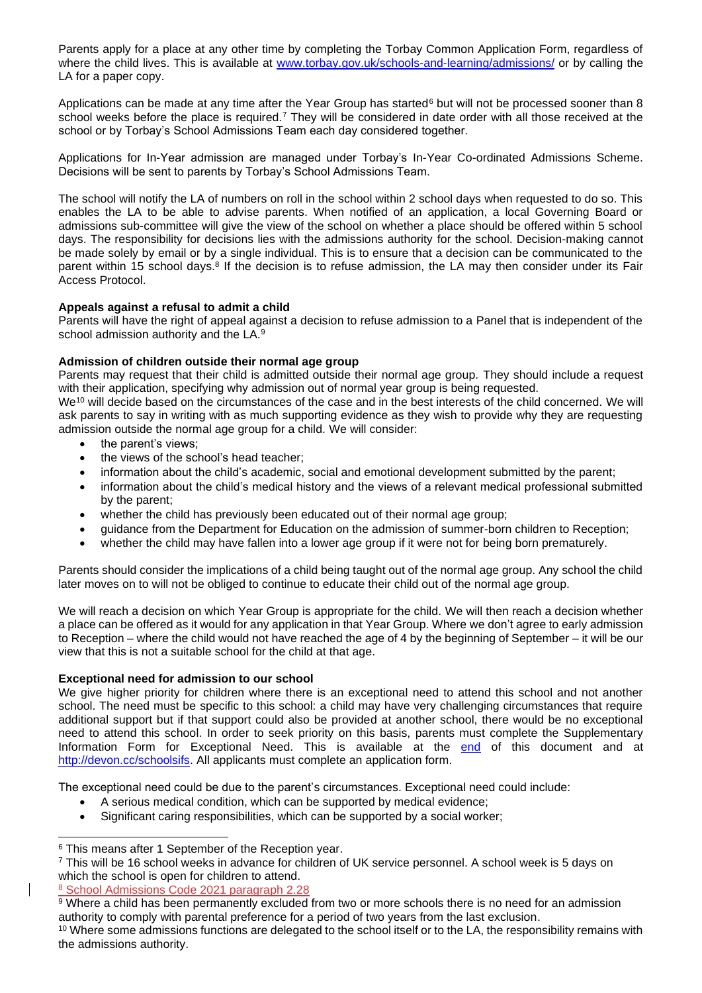Parents apply for a place at any other time by completing the Torbay Common Application Form, regardless of where the child lives. This is available at [www.torbay.gov.uk/schools-and-learning/admissions/](http://www.torbay.gov.uk/schools-and-learning/admissions/) or by calling the LA for a paper copy.

Applications can be made at any time after the Year Group has started<sup>6</sup> but will not be processed sooner than 8 school weeks before the place is required.<sup>7</sup> They will be considered in date order with all those received at the school or by Torbay's School Admissions Team each day considered together.

Applications for In-Year admission are managed under Torbay's In-Year Co-ordinated Admissions Scheme. Decisions will be sent to parents by Torbay's School Admissions Team.

The school will notify the LA of numbers on roll in the school within 2 school days when requested to do so. This enables the LA to be able to advise parents. When notified of an application, a local Governing Board or admissions sub-committee will give the view of the school on whether a place should be offered within 5 school days. The responsibility for decisions lies with the admissions authority for the school. Decision-making cannot be made solely by email or by a single individual. This is to ensure that a decision can be communicated to the parent within 15 school days.<sup>8</sup> If the decision is to refuse admission, the LA may then consider under its Fair Access Protocol.

## **Appeals against a refusal to admit a child**

Parents will have the right of appeal against a decision to refuse admission to a Panel that is independent of the school admission authority and the LA.<sup>9</sup>

## **Admission of children outside their normal age group**

Parents may request that their child is admitted outside their normal age group. They should include a request with their application, specifying why admission out of normal year group is being requested.

We<sup>10</sup> will decide based on the circumstances of the case and in the best interests of the child concerned. We will ask parents to say in writing with as much supporting evidence as they wish to provide why they are requesting admission outside the normal age group for a child. We will consider:

- the parent's views:
- the views of the school's head teacher;
- information about the child's academic, social and emotional development submitted by the parent;
- information about the child's medical history and the views of a relevant medical professional submitted by the parent;
- whether the child has previously been educated out of their normal age group;
- guidance from the Department for Education on the admission of summer-born children to Reception;
- whether the child may have fallen into a lower age group if it were not for being born prematurely.

Parents should consider the implications of a child being taught out of the normal age group. Any school the child later moves on to will not be obliged to continue to educate their child out of the normal age group.

We will reach a decision on which Year Group is appropriate for the child. We will then reach a decision whether a place can be offered as it would for any application in that Year Group. Where we don't agree to early admission to Reception – where the child would not have reached the age of 4 by the beginning of September – it will be our view that this is not a suitable school for the child at that age.

#### **Exceptional need for admission to our school**

We give higher priority for children where there is an exceptional need to attend this school and not another school. The need must be specific to this school: a child may have very challenging circumstances that require additional support but if that support could also be provided at another school, there would be no exceptional need to attend this school. In order to seek priority on this basis, parents must complete the Supplementary Information Form for Exceptional Need. This is available at the end of this document and at [http://devon.cc/schoolsifs.](http://devon.cc/schoolsifs) All applicants must complete an application form.

The exceptional need could be due to the parent's circumstances. Exceptional need could include:

- A serious medical condition, which can be supported by medical evidence;
- Significant caring responsibilities, which can be supported by a social worker;

<sup>8</sup> School Admissions Code 2021 paragraph 2.28

<sup>&</sup>lt;sup>6</sup> This means after 1 September of the Reception year.

<sup>7</sup> This will be 16 school weeks in advance for children of UK service personnel. A school week is 5 days on which the school is open for children to attend.

<sup>&</sup>lt;sup>9</sup> Where a child has been permanently excluded from two or more schools there is no need for an admission authority to comply with parental preference for a period of two years from the last exclusion.

<sup>&</sup>lt;sup>10</sup> Where some admissions functions are delegated to the school itself or to the LA, the responsibility remains with the admissions authority.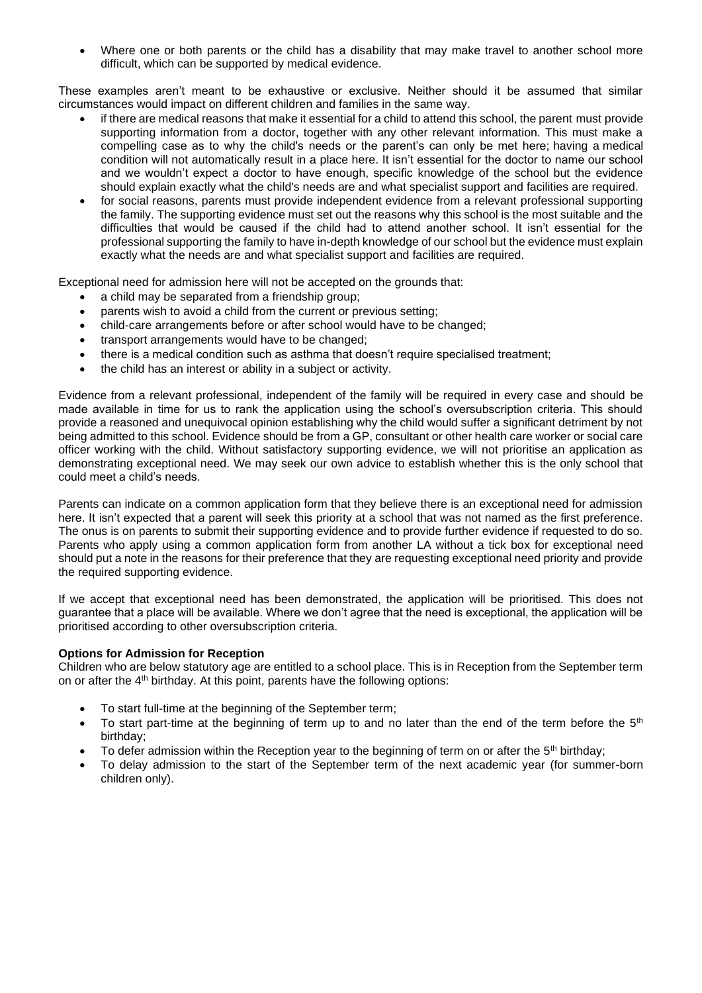• Where one or both parents or the child has a disability that may make travel to another school more difficult, which can be supported by medical evidence.

These examples aren't meant to be exhaustive or exclusive. Neither should it be assumed that similar circumstances would impact on different children and families in the same way.

- if there are medical reasons that make it essential for a child to attend this school, the parent must provide supporting information from a doctor, together with any other relevant information. This must make a compelling case as to why the child's needs or the parent's can only be met here; having a medical condition will not automatically result in a place here. It isn't essential for the doctor to name our school and we wouldn't expect a doctor to have enough, specific knowledge of the school but the evidence should explain exactly what the child's needs are and what specialist support and facilities are required.
- for social reasons, parents must provide independent evidence from a relevant professional supporting the family. The supporting evidence must set out the reasons why this school is the most suitable and the difficulties that would be caused if the child had to attend another school. It isn't essential for the professional supporting the family to have in-depth knowledge of our school but the evidence must explain exactly what the needs are and what specialist support and facilities are required.

Exceptional need for admission here will not be accepted on the grounds that:

- a child may be separated from a friendship group;
- parents wish to avoid a child from the current or previous setting:
- child-care arrangements before or after school would have to be changed;
- transport arrangements would have to be changed;
- there is a medical condition such as asthma that doesn't require specialised treatment;
- the child has an interest or ability in a subject or activity.

Evidence from a relevant professional, independent of the family will be required in every case and should be made available in time for us to rank the application using the school's oversubscription criteria. This should provide a reasoned and unequivocal opinion establishing why the child would suffer a significant detriment by not being admitted to this school. Evidence should be from a GP, consultant or other health care worker or social care officer working with the child. Without satisfactory supporting evidence, we will not prioritise an application as demonstrating exceptional need. We may seek our own advice to establish whether this is the only school that could meet a child's needs.

Parents can indicate on a common application form that they believe there is an exceptional need for admission here. It isn't expected that a parent will seek this priority at a school that was not named as the first preference. The onus is on parents to submit their supporting evidence and to provide further evidence if requested to do so. Parents who apply using a common application form from another LA without a tick box for exceptional need should put a note in the reasons for their preference that they are requesting exceptional need priority and provide the required supporting evidence.

If we accept that exceptional need has been demonstrated, the application will be prioritised. This does not guarantee that a place will be available. Where we don't agree that the need is exceptional, the application will be prioritised according to other oversubscription criteria.

#### **Options for Admission for Reception**

Children who are below statutory age are entitled to a school place. This is in Reception from the September term on or after the 4<sup>th</sup> birthday. At this point, parents have the following options:

- To start full-time at the beginning of the September term;
- To start part-time at the beginning of term up to and no later than the end of the term before the  $5<sup>th</sup>$ birthday;
- To defer admission within the Reception year to the beginning of term on or after the  $5<sup>th</sup>$  birthday;
- To delay admission to the start of the September term of the next academic year (for summer-born children only).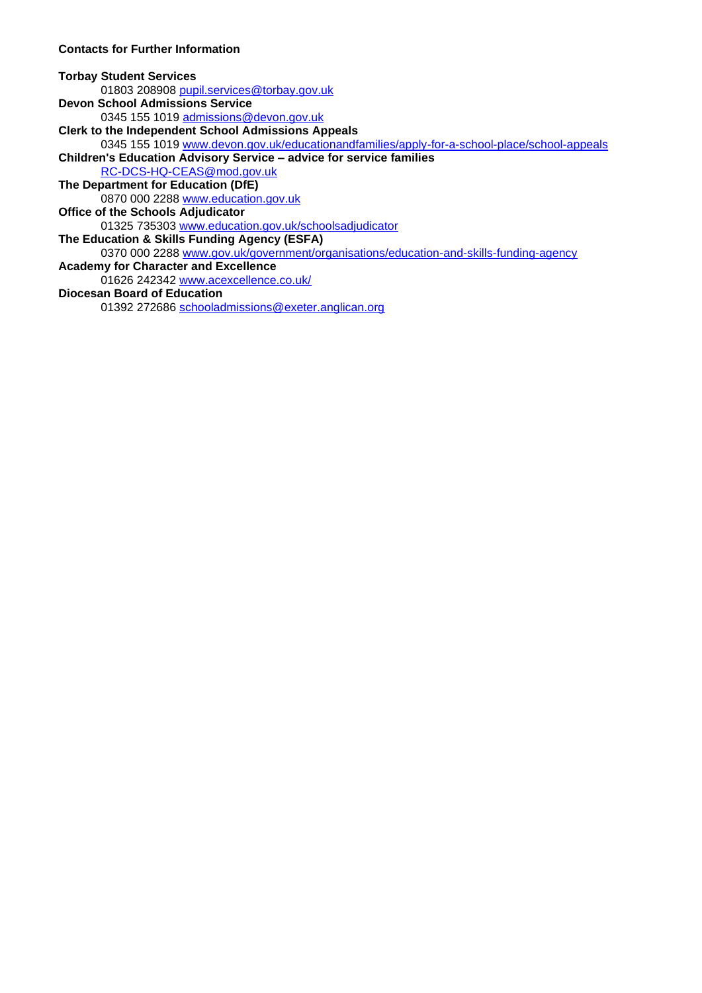## **Contacts for Further Information**

#### **Torbay Student Services** 01803 208908 [pupil.services@torbay.gov.uk](mailto:pupil.services@torbay.gov.uk) **Devon School Admissions Service** 0345 155 1019 [admissions@devon.gov.uk](mailto:admissions@devon.gov.uk) **Clerk to the Independent School Admissions Appeals** 0345 155 1019 [www.devon.gov.uk/educationandfamilies/apply-for-a-school-place/school-appeals](http://www.devon.gov.uk/educationandfamilies/apply-for-a-school-place/school-appeals) **Children's Education Advisory Service – advice for service families** [RC-DCS-HQ-CEAS@mod.gov.uk](mailto:RC-DCS-HQ-CEAS@mod.gov.uk) **The Department for Education (DfE)** 0870 000 2288 [www.education.gov.uk](http://www.education.gov.uk/) **Office of the Schools Adjudicator**  01325 735303 [www.education.gov.uk/schoolsadjudicator](http://www.education.gov.uk/schoolsadjudicator) **The Education & Skills Funding Agency (ESFA)**  0370 000 2288 [www.gov.uk/government/organisations/education-and-skills-funding-agency](http://www.gov.uk/government/organisations/education-and-skills-funding-agency) **Academy for Character and Excellence** 01626 242342 [www.acexcellence.co.uk/](http://www.acexcellence.co.uk/) **Diocesan Board of Education**

<span id="page-6-0"></span>01392 272686 [schooladmissions@exeter.anglican.org](mailto:schooladmissions@exeter.anglican.org)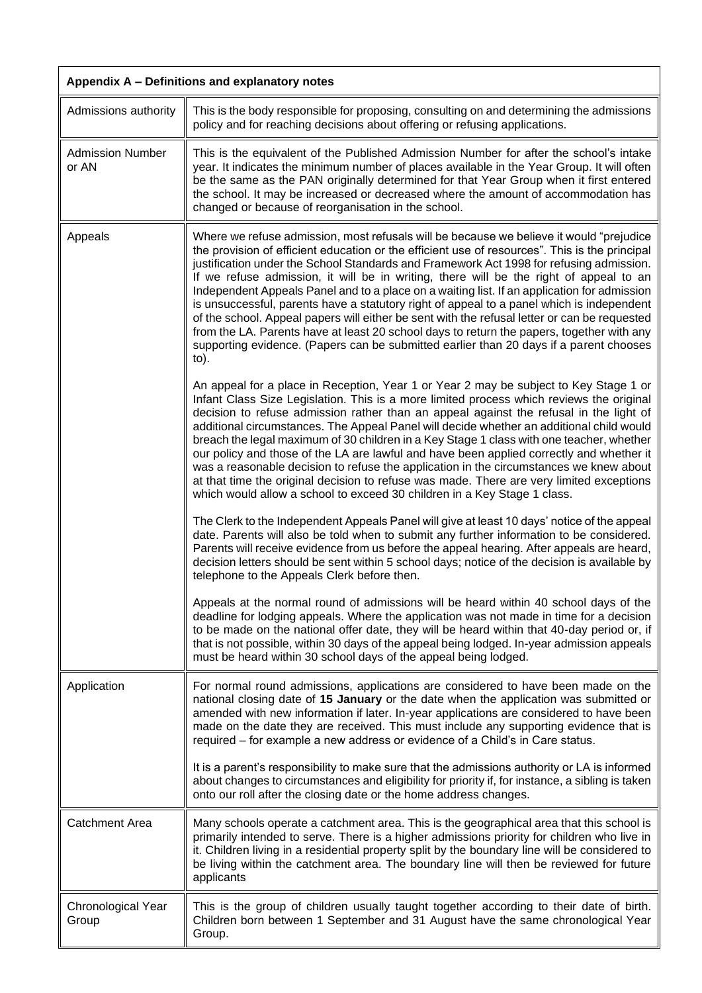<span id="page-7-0"></span>

| Appendix A - Definitions and explanatory notes |                                                                                                                                                                                                                                                                                                                                                                                                                                                                                                                                                                                                                                                                                                                                                                                                                                                                           |
|------------------------------------------------|---------------------------------------------------------------------------------------------------------------------------------------------------------------------------------------------------------------------------------------------------------------------------------------------------------------------------------------------------------------------------------------------------------------------------------------------------------------------------------------------------------------------------------------------------------------------------------------------------------------------------------------------------------------------------------------------------------------------------------------------------------------------------------------------------------------------------------------------------------------------------|
| Admissions authority                           | This is the body responsible for proposing, consulting on and determining the admissions<br>policy and for reaching decisions about offering or refusing applications.                                                                                                                                                                                                                                                                                                                                                                                                                                                                                                                                                                                                                                                                                                    |
| <b>Admission Number</b><br>or AN               | This is the equivalent of the Published Admission Number for after the school's intake<br>year. It indicates the minimum number of places available in the Year Group. It will often<br>be the same as the PAN originally determined for that Year Group when it first entered<br>the school. It may be increased or decreased where the amount of accommodation has<br>changed or because of reorganisation in the school.                                                                                                                                                                                                                                                                                                                                                                                                                                               |
| Appeals                                        | Where we refuse admission, most refusals will be because we believe it would "prejudice<br>the provision of efficient education or the efficient use of resources". This is the principal<br>justification under the School Standards and Framework Act 1998 for refusing admission.<br>If we refuse admission, it will be in writing, there will be the right of appeal to an<br>Independent Appeals Panel and to a place on a waiting list. If an application for admission<br>is unsuccessful, parents have a statutory right of appeal to a panel which is independent<br>of the school. Appeal papers will either be sent with the refusal letter or can be requested<br>from the LA. Parents have at least 20 school days to return the papers, together with any<br>supporting evidence. (Papers can be submitted earlier than 20 days if a parent chooses<br>to). |
|                                                | An appeal for a place in Reception, Year 1 or Year 2 may be subject to Key Stage 1 or<br>Infant Class Size Legislation. This is a more limited process which reviews the original<br>decision to refuse admission rather than an appeal against the refusal in the light of<br>additional circumstances. The Appeal Panel will decide whether an additional child would<br>breach the legal maximum of 30 children in a Key Stage 1 class with one teacher, whether<br>our policy and those of the LA are lawful and have been applied correctly and whether it<br>was a reasonable decision to refuse the application in the circumstances we knew about<br>at that time the original decision to refuse was made. There are very limited exceptions<br>which would allow a school to exceed 30 children in a Key Stage 1 class.                                         |
|                                                | The Clerk to the Independent Appeals Panel will give at least 10 days' notice of the appeal<br>date. Parents will also be told when to submit any further information to be considered.<br>Parents will receive evidence from us before the appeal hearing. After appeals are heard,<br>decision letters should be sent within 5 school days; notice of the decision is available by<br>telephone to the Appeals Clerk before then.                                                                                                                                                                                                                                                                                                                                                                                                                                       |
|                                                | Appeals at the normal round of admissions will be heard within 40 school days of the<br>deadline for lodging appeals. Where the application was not made in time for a decision<br>to be made on the national offer date, they will be heard within that 40-day period or, if<br>that is not possible, within 30 days of the appeal being lodged. In-year admission appeals<br>must be heard within 30 school days of the appeal being lodged.                                                                                                                                                                                                                                                                                                                                                                                                                            |
| Application                                    | For normal round admissions, applications are considered to have been made on the<br>national closing date of 15 January or the date when the application was submitted or<br>amended with new information if later. In-year applications are considered to have been<br>made on the date they are received. This must include any supporting evidence that is<br>required - for example a new address or evidence of a Child's in Care status.                                                                                                                                                                                                                                                                                                                                                                                                                           |
|                                                | It is a parent's responsibility to make sure that the admissions authority or LA is informed<br>about changes to circumstances and eligibility for priority if, for instance, a sibling is taken<br>onto our roll after the closing date or the home address changes.                                                                                                                                                                                                                                                                                                                                                                                                                                                                                                                                                                                                     |
| <b>Catchment Area</b>                          | Many schools operate a catchment area. This is the geographical area that this school is<br>primarily intended to serve. There is a higher admissions priority for children who live in<br>it. Children living in a residential property split by the boundary line will be considered to<br>be living within the catchment area. The boundary line will then be reviewed for future<br>applicants                                                                                                                                                                                                                                                                                                                                                                                                                                                                        |
| Chronological Year<br>Group                    | This is the group of children usually taught together according to their date of birth.<br>Children born between 1 September and 31 August have the same chronological Year<br>Group.                                                                                                                                                                                                                                                                                                                                                                                                                                                                                                                                                                                                                                                                                     |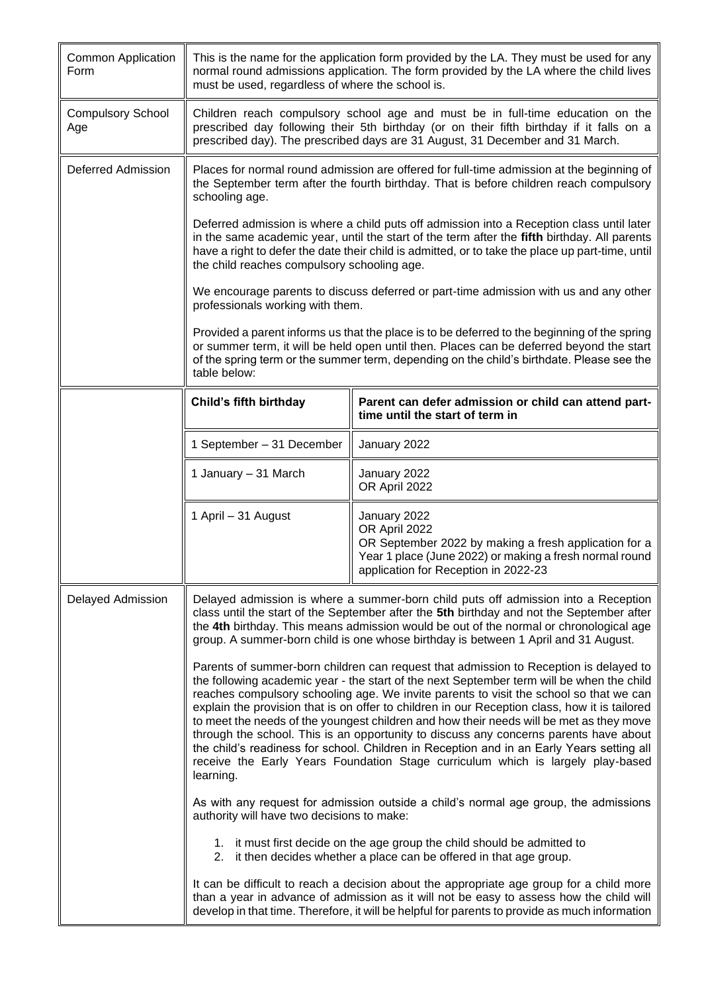| <b>Common Application</b><br>Form | must be used, regardless of where the school is.                                                                                                                                                                                                                                                                                                                                                                                                                                                                                                                                                                                                                                                                                                                                                                                                                                                                                                                                                                                                                                                                                  | This is the name for the application form provided by the LA. They must be used for any<br>normal round admissions application. The form provided by the LA where the child lives                                                                                                             |
|-----------------------------------|-----------------------------------------------------------------------------------------------------------------------------------------------------------------------------------------------------------------------------------------------------------------------------------------------------------------------------------------------------------------------------------------------------------------------------------------------------------------------------------------------------------------------------------------------------------------------------------------------------------------------------------------------------------------------------------------------------------------------------------------------------------------------------------------------------------------------------------------------------------------------------------------------------------------------------------------------------------------------------------------------------------------------------------------------------------------------------------------------------------------------------------|-----------------------------------------------------------------------------------------------------------------------------------------------------------------------------------------------------------------------------------------------------------------------------------------------|
| <b>Compulsory School</b><br>Age   |                                                                                                                                                                                                                                                                                                                                                                                                                                                                                                                                                                                                                                                                                                                                                                                                                                                                                                                                                                                                                                                                                                                                   | Children reach compulsory school age and must be in full-time education on the<br>prescribed day following their 5th birthday (or on their fifth birthday if it falls on a<br>prescribed day). The prescribed days are 31 August, 31 December and 31 March.                                   |
| Deferred Admission                | Places for normal round admission are offered for full-time admission at the beginning of<br>the September term after the fourth birthday. That is before children reach compulsory<br>schooling age.                                                                                                                                                                                                                                                                                                                                                                                                                                                                                                                                                                                                                                                                                                                                                                                                                                                                                                                             |                                                                                                                                                                                                                                                                                               |
|                                   | the child reaches compulsory schooling age.                                                                                                                                                                                                                                                                                                                                                                                                                                                                                                                                                                                                                                                                                                                                                                                                                                                                                                                                                                                                                                                                                       | Deferred admission is where a child puts off admission into a Reception class until later<br>in the same academic year, until the start of the term after the fifth birthday. All parents<br>have a right to defer the date their child is admitted, or to take the place up part-time, until |
|                                   | professionals working with them.                                                                                                                                                                                                                                                                                                                                                                                                                                                                                                                                                                                                                                                                                                                                                                                                                                                                                                                                                                                                                                                                                                  | We encourage parents to discuss deferred or part-time admission with us and any other                                                                                                                                                                                                         |
|                                   | table below:                                                                                                                                                                                                                                                                                                                                                                                                                                                                                                                                                                                                                                                                                                                                                                                                                                                                                                                                                                                                                                                                                                                      | Provided a parent informs us that the place is to be deferred to the beginning of the spring<br>or summer term, it will be held open until then. Places can be deferred beyond the start<br>of the spring term or the summer term, depending on the child's birthdate. Please see the         |
|                                   | Child's fifth birthday                                                                                                                                                                                                                                                                                                                                                                                                                                                                                                                                                                                                                                                                                                                                                                                                                                                                                                                                                                                                                                                                                                            | Parent can defer admission or child can attend part-<br>time until the start of term in                                                                                                                                                                                                       |
|                                   | 1 September - 31 December                                                                                                                                                                                                                                                                                                                                                                                                                                                                                                                                                                                                                                                                                                                                                                                                                                                                                                                                                                                                                                                                                                         | January 2022                                                                                                                                                                                                                                                                                  |
|                                   | 1 January - 31 March                                                                                                                                                                                                                                                                                                                                                                                                                                                                                                                                                                                                                                                                                                                                                                                                                                                                                                                                                                                                                                                                                                              | January 2022<br>OR April 2022                                                                                                                                                                                                                                                                 |
|                                   | 1 April - 31 August                                                                                                                                                                                                                                                                                                                                                                                                                                                                                                                                                                                                                                                                                                                                                                                                                                                                                                                                                                                                                                                                                                               | January 2022<br>OR April 2022<br>OR September 2022 by making a fresh application for a<br>Year 1 place (June 2022) or making a fresh normal round<br>application for Reception in 2022-23                                                                                                     |
| Delayed Admission                 | Delayed admission is where a summer-born child puts off admission into a Reception<br>class until the start of the September after the 5th birthday and not the September after<br>the 4th birthday. This means admission would be out of the normal or chronological age<br>group. A summer-born child is one whose birthday is between 1 April and 31 August.<br>Parents of summer-born children can request that admission to Reception is delayed to<br>the following academic year - the start of the next September term will be when the child<br>reaches compulsory schooling age. We invite parents to visit the school so that we can<br>explain the provision that is on offer to children in our Reception class, how it is tailored<br>to meet the needs of the youngest children and how their needs will be met as they move<br>through the school. This is an opportunity to discuss any concerns parents have about<br>the child's readiness for school. Children in Reception and in an Early Years setting all<br>receive the Early Years Foundation Stage curriculum which is largely play-based<br>learning. |                                                                                                                                                                                                                                                                                               |
|                                   |                                                                                                                                                                                                                                                                                                                                                                                                                                                                                                                                                                                                                                                                                                                                                                                                                                                                                                                                                                                                                                                                                                                                   |                                                                                                                                                                                                                                                                                               |
|                                   | authority will have two decisions to make:                                                                                                                                                                                                                                                                                                                                                                                                                                                                                                                                                                                                                                                                                                                                                                                                                                                                                                                                                                                                                                                                                        | As with any request for admission outside a child's normal age group, the admissions                                                                                                                                                                                                          |
|                                   |                                                                                                                                                                                                                                                                                                                                                                                                                                                                                                                                                                                                                                                                                                                                                                                                                                                                                                                                                                                                                                                                                                                                   | 1. it must first decide on the age group the child should be admitted to<br>2. it then decides whether a place can be offered in that age group.                                                                                                                                              |
|                                   |                                                                                                                                                                                                                                                                                                                                                                                                                                                                                                                                                                                                                                                                                                                                                                                                                                                                                                                                                                                                                                                                                                                                   | It can be difficult to reach a decision about the appropriate age group for a child more<br>than a year in advance of admission as it will not be easy to assess how the child will<br>develop in that time. Therefore, it will be helpful for parents to provide as much information         |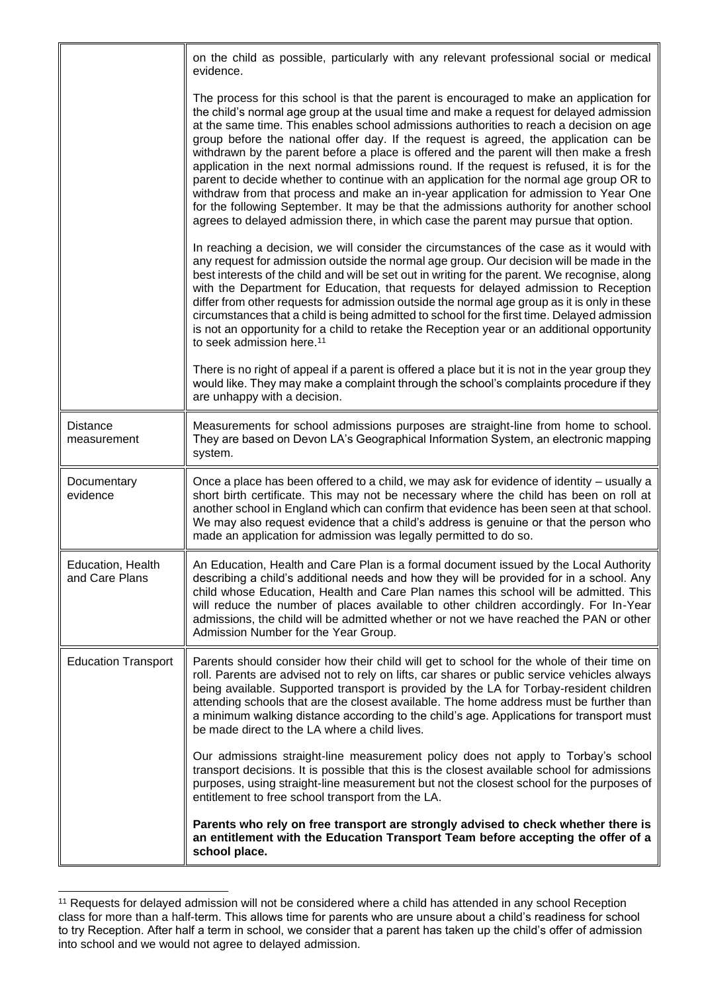|                                     | on the child as possible, particularly with any relevant professional social or medical<br>evidence.                                                                                                                                                                                                                                                                                                                                                                                                                                                                                                                                                                                                                                                                                                                                                                                                                                |
|-------------------------------------|-------------------------------------------------------------------------------------------------------------------------------------------------------------------------------------------------------------------------------------------------------------------------------------------------------------------------------------------------------------------------------------------------------------------------------------------------------------------------------------------------------------------------------------------------------------------------------------------------------------------------------------------------------------------------------------------------------------------------------------------------------------------------------------------------------------------------------------------------------------------------------------------------------------------------------------|
|                                     | The process for this school is that the parent is encouraged to make an application for<br>the child's normal age group at the usual time and make a request for delayed admission<br>at the same time. This enables school admissions authorities to reach a decision on age<br>group before the national offer day. If the request is agreed, the application can be<br>withdrawn by the parent before a place is offered and the parent will then make a fresh<br>application in the next normal admissions round. If the request is refused, it is for the<br>parent to decide whether to continue with an application for the normal age group OR to<br>withdraw from that process and make an in-year application for admission to Year One<br>for the following September. It may be that the admissions authority for another school<br>agrees to delayed admission there, in which case the parent may pursue that option. |
|                                     | In reaching a decision, we will consider the circumstances of the case as it would with<br>any request for admission outside the normal age group. Our decision will be made in the<br>best interests of the child and will be set out in writing for the parent. We recognise, along<br>with the Department for Education, that requests for delayed admission to Reception<br>differ from other requests for admission outside the normal age group as it is only in these<br>circumstances that a child is being admitted to school for the first time. Delayed admission<br>is not an opportunity for a child to retake the Reception year or an additional opportunity<br>to seek admission here. <sup>11</sup>                                                                                                                                                                                                                |
|                                     | There is no right of appeal if a parent is offered a place but it is not in the year group they<br>would like. They may make a complaint through the school's complaints procedure if they<br>are unhappy with a decision.                                                                                                                                                                                                                                                                                                                                                                                                                                                                                                                                                                                                                                                                                                          |
| <b>Distance</b><br>measurement      | Measurements for school admissions purposes are straight-line from home to school.<br>They are based on Devon LA's Geographical Information System, an electronic mapping<br>system.                                                                                                                                                                                                                                                                                                                                                                                                                                                                                                                                                                                                                                                                                                                                                |
| Documentary<br>evidence             | Once a place has been offered to a child, we may ask for evidence of identity – usually a<br>short birth certificate. This may not be necessary where the child has been on roll at<br>another school in England which can confirm that evidence has been seen at that school.<br>We may also request evidence that a child's address is genuine or that the person who<br>made an application for admission was legally permitted to do so.                                                                                                                                                                                                                                                                                                                                                                                                                                                                                        |
| Education, Health<br>and Care Plans | An Education, Health and Care Plan is a formal document issued by the Local Authority<br>describing a child's additional needs and how they will be provided for in a school. Any<br>child whose Education, Health and Care Plan names this school will be admitted. This<br>will reduce the number of places available to other children accordingly. For In-Year<br>admissions, the child will be admitted whether or not we have reached the PAN or other<br>Admission Number for the Year Group.                                                                                                                                                                                                                                                                                                                                                                                                                                |
| <b>Education Transport</b>          | Parents should consider how their child will get to school for the whole of their time on<br>roll. Parents are advised not to rely on lifts, car shares or public service vehicles always<br>being available. Supported transport is provided by the LA for Torbay-resident children<br>attending schools that are the closest available. The home address must be further than<br>a minimum walking distance according to the child's age. Applications for transport must<br>be made direct to the LA where a child lives.                                                                                                                                                                                                                                                                                                                                                                                                        |
|                                     | Our admissions straight-line measurement policy does not apply to Torbay's school<br>transport decisions. It is possible that this is the closest available school for admissions<br>purposes, using straight-line measurement but not the closest school for the purposes of<br>entitlement to free school transport from the LA.                                                                                                                                                                                                                                                                                                                                                                                                                                                                                                                                                                                                  |
|                                     | Parents who rely on free transport are strongly advised to check whether there is<br>an entitlement with the Education Transport Team before accepting the offer of a<br>school place.                                                                                                                                                                                                                                                                                                                                                                                                                                                                                                                                                                                                                                                                                                                                              |

<sup>&</sup>lt;sup>11</sup> Requests for delayed admission will not be considered where a child has attended in any school Reception class for more than a half-term. This allows time for parents who are unsure about a child's readiness for school to try Reception. After half a term in school, we consider that a parent has taken up the child's offer of admission into school and we would not agree to delayed admission.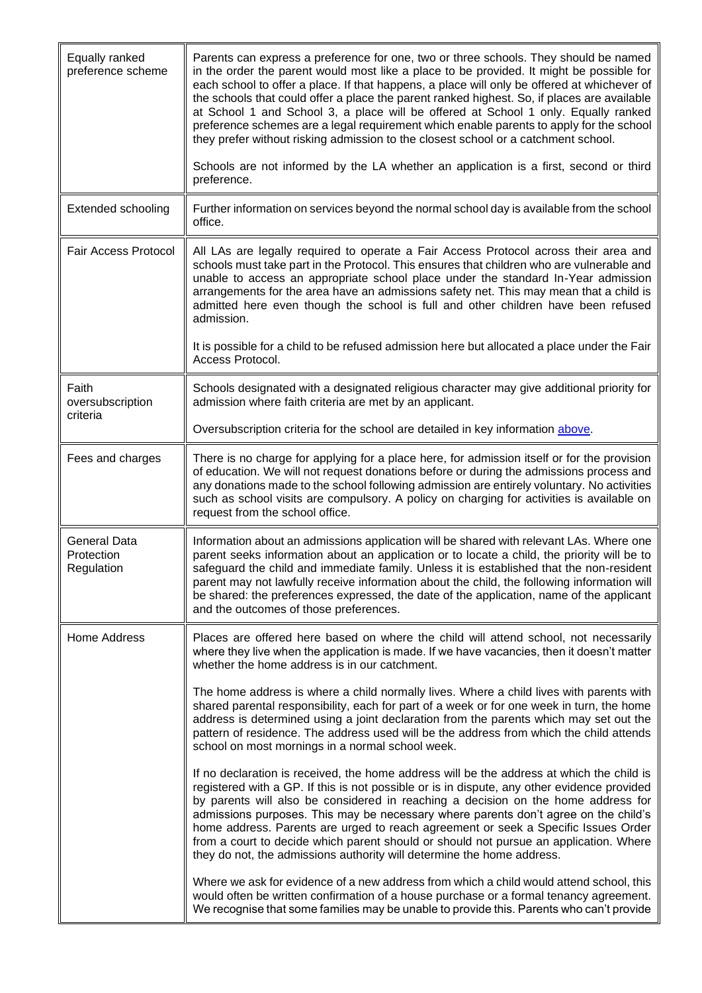<span id="page-10-0"></span>

| Equally ranked<br>preference scheme      | Parents can express a preference for one, two or three schools. They should be named<br>in the order the parent would most like a place to be provided. It might be possible for<br>each school to offer a place. If that happens, a place will only be offered at whichever of<br>the schools that could offer a place the parent ranked highest. So, if places are available<br>at School 1 and School 3, a place will be offered at School 1 only. Equally ranked<br>preference schemes are a legal requirement which enable parents to apply for the school<br>they prefer without risking admission to the closest school or a catchment school. |
|------------------------------------------|-------------------------------------------------------------------------------------------------------------------------------------------------------------------------------------------------------------------------------------------------------------------------------------------------------------------------------------------------------------------------------------------------------------------------------------------------------------------------------------------------------------------------------------------------------------------------------------------------------------------------------------------------------|
|                                          | Schools are not informed by the LA whether an application is a first, second or third<br>preference.                                                                                                                                                                                                                                                                                                                                                                                                                                                                                                                                                  |
| <b>Extended schooling</b>                | Further information on services beyond the normal school day is available from the school<br>office.                                                                                                                                                                                                                                                                                                                                                                                                                                                                                                                                                  |
| <b>Fair Access Protocol</b>              | All LAs are legally required to operate a Fair Access Protocol across their area and<br>schools must take part in the Protocol. This ensures that children who are vulnerable and<br>unable to access an appropriate school place under the standard In-Year admission<br>arrangements for the area have an admissions safety net. This may mean that a child is<br>admitted here even though the school is full and other children have been refused<br>admission.                                                                                                                                                                                   |
|                                          | It is possible for a child to be refused admission here but allocated a place under the Fair<br>Access Protocol.                                                                                                                                                                                                                                                                                                                                                                                                                                                                                                                                      |
| Faith<br>oversubscription<br>criteria    | Schools designated with a designated religious character may give additional priority for<br>admission where faith criteria are met by an applicant.                                                                                                                                                                                                                                                                                                                                                                                                                                                                                                  |
|                                          | Oversubscription criteria for the school are detailed in key information above.                                                                                                                                                                                                                                                                                                                                                                                                                                                                                                                                                                       |
| Fees and charges                         | There is no charge for applying for a place here, for admission itself or for the provision<br>of education. We will not request donations before or during the admissions process and<br>any donations made to the school following admission are entirely voluntary. No activities<br>such as school visits are compulsory. A policy on charging for activities is available on<br>request from the school office.                                                                                                                                                                                                                                  |
| General Data<br>Protection<br>Regulation | Information about an admissions application will be shared with relevant LAs. Where one<br>parent seeks information about an application or to locate a child, the priority will be to<br>safeguard the child and immediate family. Unless it is established that the non-resident<br>parent may not lawfully receive information about the child, the following information will<br>be shared: the preferences expressed, the date of the application, name of the applicant<br>and the outcomes of those preferences.                                                                                                                               |
| <b>Home Address</b>                      | Places are offered here based on where the child will attend school, not necessarily<br>where they live when the application is made. If we have vacancies, then it doesn't matter<br>whether the home address is in our catchment.                                                                                                                                                                                                                                                                                                                                                                                                                   |
|                                          | The home address is where a child normally lives. Where a child lives with parents with<br>shared parental responsibility, each for part of a week or for one week in turn, the home<br>address is determined using a joint declaration from the parents which may set out the<br>pattern of residence. The address used will be the address from which the child attends<br>school on most mornings in a normal school week.                                                                                                                                                                                                                         |
|                                          | If no declaration is received, the home address will be the address at which the child is<br>registered with a GP. If this is not possible or is in dispute, any other evidence provided<br>by parents will also be considered in reaching a decision on the home address for<br>admissions purposes. This may be necessary where parents don't agree on the child's<br>home address. Parents are urged to reach agreement or seek a Specific Issues Order<br>from a court to decide which parent should or should not pursue an application. Where<br>they do not, the admissions authority will determine the home address.                         |
|                                          | Where we ask for evidence of a new address from which a child would attend school, this<br>would often be written confirmation of a house purchase or a formal tenancy agreement.<br>We recognise that some families may be unable to provide this. Parents who can't provide                                                                                                                                                                                                                                                                                                                                                                         |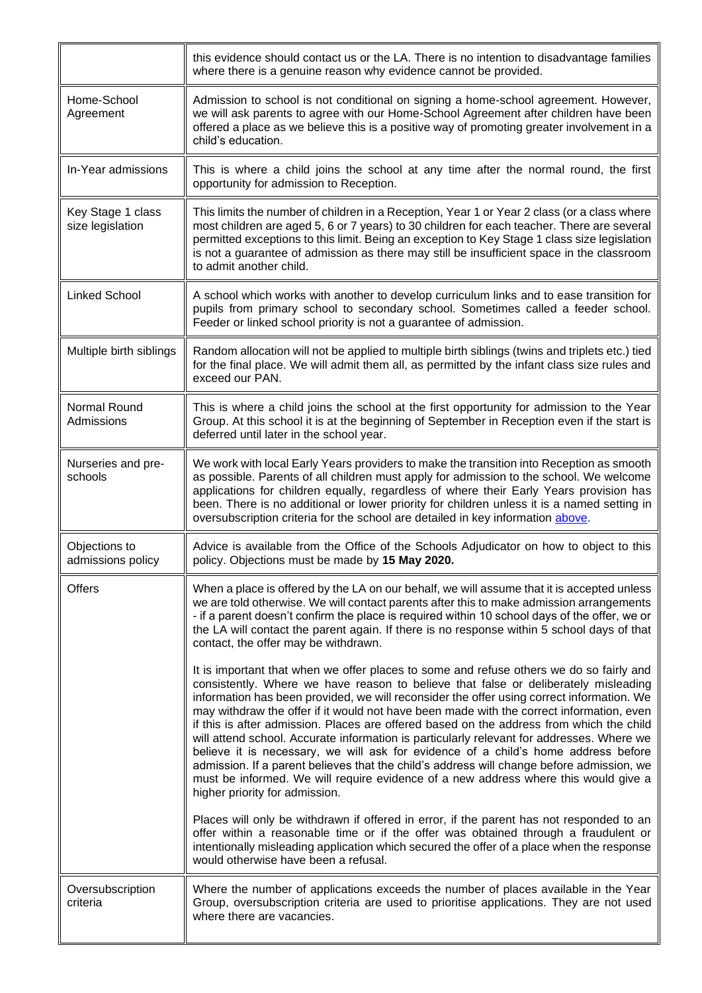<span id="page-11-0"></span>

|                                       | this evidence should contact us or the LA. There is no intention to disadvantage families<br>where there is a genuine reason why evidence cannot be provided.                                                                                                                                                                                                                                                                                                                                                                                                                                                                                                                                                                                                                                                                                                                |
|---------------------------------------|------------------------------------------------------------------------------------------------------------------------------------------------------------------------------------------------------------------------------------------------------------------------------------------------------------------------------------------------------------------------------------------------------------------------------------------------------------------------------------------------------------------------------------------------------------------------------------------------------------------------------------------------------------------------------------------------------------------------------------------------------------------------------------------------------------------------------------------------------------------------------|
| Home-School<br>Agreement              | Admission to school is not conditional on signing a home-school agreement. However,<br>we will ask parents to agree with our Home-School Agreement after children have been<br>offered a place as we believe this is a positive way of promoting greater involvement in a<br>child's education.                                                                                                                                                                                                                                                                                                                                                                                                                                                                                                                                                                              |
| In-Year admissions                    | This is where a child joins the school at any time after the normal round, the first<br>opportunity for admission to Reception.                                                                                                                                                                                                                                                                                                                                                                                                                                                                                                                                                                                                                                                                                                                                              |
| Key Stage 1 class<br>size legislation | This limits the number of children in a Reception, Year 1 or Year 2 class (or a class where<br>most children are aged 5, 6 or 7 years) to 30 children for each teacher. There are several<br>permitted exceptions to this limit. Being an exception to Key Stage 1 class size legislation<br>is not a guarantee of admission as there may still be insufficient space in the classroom<br>to admit another child.                                                                                                                                                                                                                                                                                                                                                                                                                                                            |
| <b>Linked School</b>                  | A school which works with another to develop curriculum links and to ease transition for<br>pupils from primary school to secondary school. Sometimes called a feeder school.<br>Feeder or linked school priority is not a guarantee of admission.                                                                                                                                                                                                                                                                                                                                                                                                                                                                                                                                                                                                                           |
| Multiple birth siblings               | Random allocation will not be applied to multiple birth siblings (twins and triplets etc.) tied<br>for the final place. We will admit them all, as permitted by the infant class size rules and<br>exceed our PAN.                                                                                                                                                                                                                                                                                                                                                                                                                                                                                                                                                                                                                                                           |
| Normal Round<br>Admissions            | This is where a child joins the school at the first opportunity for admission to the Year<br>Group. At this school it is at the beginning of September in Reception even if the start is<br>deferred until later in the school year.                                                                                                                                                                                                                                                                                                                                                                                                                                                                                                                                                                                                                                         |
| Nurseries and pre-<br>schools         | We work with local Early Years providers to make the transition into Reception as smooth<br>as possible. Parents of all children must apply for admission to the school. We welcome<br>applications for children equally, regardless of where their Early Years provision has<br>been. There is no additional or lower priority for children unless it is a named setting in<br>oversubscription criteria for the school are detailed in key information above.                                                                                                                                                                                                                                                                                                                                                                                                              |
| Objections to<br>admissions policy    | Advice is available from the Office of the Schools Adjudicator on how to object to this<br>policy. Objections must be made by 15 May 2020.                                                                                                                                                                                                                                                                                                                                                                                                                                                                                                                                                                                                                                                                                                                                   |
| <b>Offers</b>                         | When a place is offered by the LA on our behalf, we will assume that it is accepted unless<br>we are told otherwise. We will contact parents after this to make admission arrangements<br>- if a parent doesn't confirm the place is required within 10 school days of the offer, we or<br>the LA will contact the parent again. If there is no response within 5 school days of that<br>contact, the offer may be withdrawn.                                                                                                                                                                                                                                                                                                                                                                                                                                                |
|                                       | It is important that when we offer places to some and refuse others we do so fairly and<br>consistently. Where we have reason to believe that false or deliberately misleading<br>information has been provided, we will reconsider the offer using correct information. We<br>may withdraw the offer if it would not have been made with the correct information, even<br>if this is after admission. Places are offered based on the address from which the child<br>will attend school. Accurate information is particularly relevant for addresses. Where we<br>believe it is necessary, we will ask for evidence of a child's home address before<br>admission. If a parent believes that the child's address will change before admission, we<br>must be informed. We will require evidence of a new address where this would give a<br>higher priority for admission. |
|                                       | Places will only be withdrawn if offered in error, if the parent has not responded to an<br>offer within a reasonable time or if the offer was obtained through a fraudulent or<br>intentionally misleading application which secured the offer of a place when the response<br>would otherwise have been a refusal.                                                                                                                                                                                                                                                                                                                                                                                                                                                                                                                                                         |
| Oversubscription<br>criteria          | Where the number of applications exceeds the number of places available in the Year<br>Group, oversubscription criteria are used to prioritise applications. They are not used<br>where there are vacancies.                                                                                                                                                                                                                                                                                                                                                                                                                                                                                                                                                                                                                                                                 |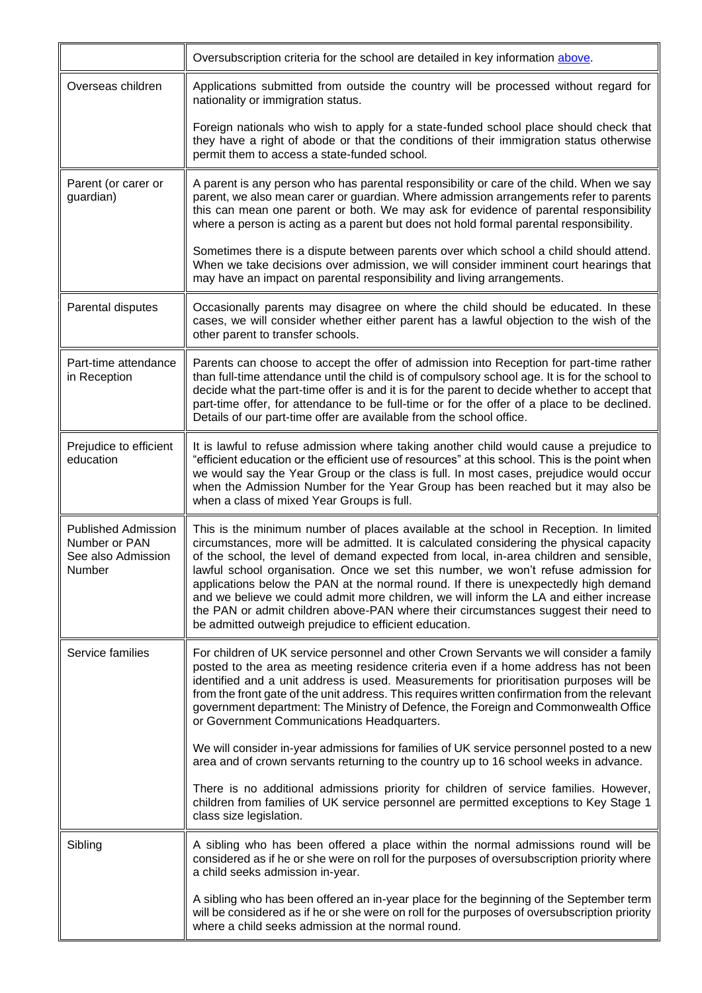<span id="page-12-0"></span>

|                                                                             | Oversubscription criteria for the school are detailed in key information above.                                                                                                                                                                                                                                                                                                                                                                                                                                                                                                                                                                                                                      |
|-----------------------------------------------------------------------------|------------------------------------------------------------------------------------------------------------------------------------------------------------------------------------------------------------------------------------------------------------------------------------------------------------------------------------------------------------------------------------------------------------------------------------------------------------------------------------------------------------------------------------------------------------------------------------------------------------------------------------------------------------------------------------------------------|
| Overseas children                                                           | Applications submitted from outside the country will be processed without regard for<br>nationality or immigration status.                                                                                                                                                                                                                                                                                                                                                                                                                                                                                                                                                                           |
|                                                                             | Foreign nationals who wish to apply for a state-funded school place should check that<br>they have a right of abode or that the conditions of their immigration status otherwise<br>permit them to access a state-funded school.                                                                                                                                                                                                                                                                                                                                                                                                                                                                     |
| Parent (or carer or<br>guardian)                                            | A parent is any person who has parental responsibility or care of the child. When we say<br>parent, we also mean carer or guardian. Where admission arrangements refer to parents<br>this can mean one parent or both. We may ask for evidence of parental responsibility<br>where a person is acting as a parent but does not hold formal parental responsibility.                                                                                                                                                                                                                                                                                                                                  |
|                                                                             | Sometimes there is a dispute between parents over which school a child should attend.<br>When we take decisions over admission, we will consider imminent court hearings that<br>may have an impact on parental responsibility and living arrangements.                                                                                                                                                                                                                                                                                                                                                                                                                                              |
| Parental disputes                                                           | Occasionally parents may disagree on where the child should be educated. In these<br>cases, we will consider whether either parent has a lawful objection to the wish of the<br>other parent to transfer schools.                                                                                                                                                                                                                                                                                                                                                                                                                                                                                    |
| Part-time attendance<br>in Reception                                        | Parents can choose to accept the offer of admission into Reception for part-time rather<br>than full-time attendance until the child is of compulsory school age. It is for the school to<br>decide what the part-time offer is and it is for the parent to decide whether to accept that<br>part-time offer, for attendance to be full-time or for the offer of a place to be declined.<br>Details of our part-time offer are available from the school office.                                                                                                                                                                                                                                     |
| Prejudice to efficient<br>education                                         | It is lawful to refuse admission where taking another child would cause a prejudice to<br>"efficient education or the efficient use of resources" at this school. This is the point when<br>we would say the Year Group or the class is full. In most cases, prejudice would occur<br>when the Admission Number for the Year Group has been reached but it may also be<br>when a class of mixed Year Groups is full.                                                                                                                                                                                                                                                                                 |
| <b>Published Admission</b><br>Number or PAN<br>See also Admission<br>Number | This is the minimum number of places available at the school in Reception. In limited<br>circumstances, more will be admitted. It is calculated considering the physical capacity<br>of the school, the level of demand expected from local, in-area children and sensible,<br>lawful school organisation. Once we set this number, we won't refuse admission for<br>applications below the PAN at the normal round. If there is unexpectedly high demand<br>and we believe we could admit more children, we will inform the LA and either increase<br>the PAN or admit children above-PAN where their circumstances suggest their need to<br>be admitted outweigh prejudice to efficient education. |
| Service families                                                            | For children of UK service personnel and other Crown Servants we will consider a family<br>posted to the area as meeting residence criteria even if a home address has not been<br>identified and a unit address is used. Measurements for prioritisation purposes will be<br>from the front gate of the unit address. This requires written confirmation from the relevant<br>government department: The Ministry of Defence, the Foreign and Commonwealth Office<br>or Government Communications Headquarters.                                                                                                                                                                                     |
|                                                                             | We will consider in-year admissions for families of UK service personnel posted to a new<br>area and of crown servants returning to the country up to 16 school weeks in advance.                                                                                                                                                                                                                                                                                                                                                                                                                                                                                                                    |
|                                                                             | There is no additional admissions priority for children of service families. However,<br>children from families of UK service personnel are permitted exceptions to Key Stage 1<br>class size legislation.                                                                                                                                                                                                                                                                                                                                                                                                                                                                                           |
| Sibling                                                                     | A sibling who has been offered a place within the normal admissions round will be<br>considered as if he or she were on roll for the purposes of oversubscription priority where<br>a child seeks admission in-year.                                                                                                                                                                                                                                                                                                                                                                                                                                                                                 |
|                                                                             | A sibling who has been offered an in-year place for the beginning of the September term<br>will be considered as if he or she were on roll for the purposes of oversubscription priority<br>where a child seeks admission at the normal round.                                                                                                                                                                                                                                                                                                                                                                                                                                                       |